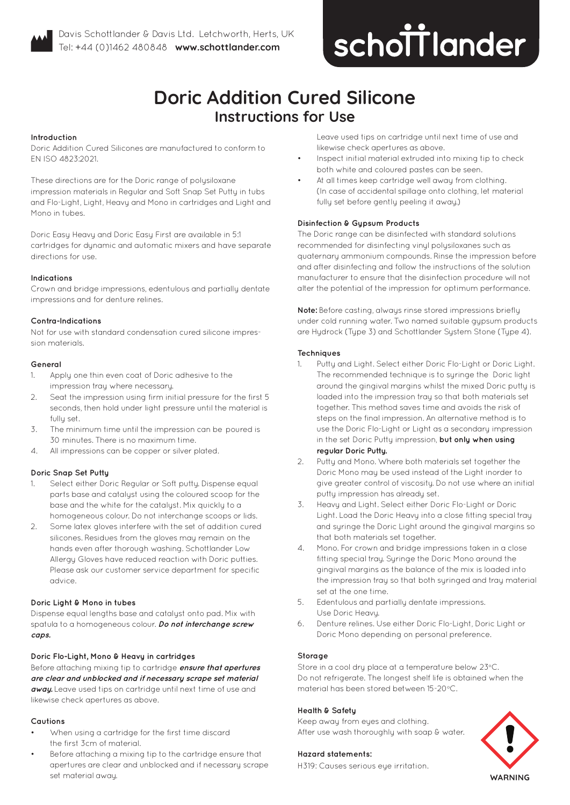

# **improving dentistry together**

# **Doric Addition Cured Silicone Instructions for Use**

#### **Introduction**

Doric Addition Cured Silicones are manufactured to conform to EN ISO 4823:2021.

These directions are for the Doric range of polysiloxane impression materials in Regular and Soft Snap Set Putty in tubs and Flo-Light, Light, Heavy and Mono in cartridges and Light and Mono in tubes.

Doric Easy Heavy and Doric Easy First are available in 5:1 cartridges for dynamic and automatic mixers and have separate directions for use.

#### **Indications**

Crown and bridge impressions, edentulous and partially dentate impressions and for denture relines.

#### **Contra-Indications**

Not for use with standard condensation cured silicone impression materials.

#### **General**

- 1. Apply one thin even coat of Doric adhesive to the impression tray where necessary.
- 2. Seat the impression using firm initial pressure for the first 5 seconds, then hold under light pressure until the material is fully set.
- 3. The minimum time until the impression can be poured is 30 minutes. There is no maximum time.
- 4. All impressions can be copper or silver plated.

# **Doric Snap Set Putty**

- 1. Select either Doric Regular or Soft putty. Dispense equal parts base and catalyst using the coloured scoop for the base and the white for the catalyst. Mix quickly to a homogeneous colour. Do not interchange scoops or lids.
- 2. Some latex gloves interfere with the set of addition cured silicones. Residues from the gloves may remain on the hands even after thorough washing. Schottlander Low Allergy Gloves have reduced reaction with Doric putties. Please ask our customer service department for specific advice.

# **Doric Light & Mono in tubes**

Dispense equal lengths base and catalyst onto pad. Mix with spatula to a homogeneous colour. **Do not interchange screw caps.**

#### **Doric Flo-Light, Mono & Heavy in cartridges**

Before attaching mixing tip to cartridge **ensure that apertures are clear and unblocked and if necessary scrape set material away.** Leave used tips on cartridge until next time of use and likewise check apertures as above.

#### **Cautions**

- When using a cartridge for the first time discard the first 3cm of material.
- Before attaching a mixing tip to the cartridge ensure that apertures are clear and unblocked and if necessary scrape set material away.

Leave used tips on cartridge until next time of use and likewise check apertures as above.

- Inspect initial material extruded into mixing tip to check both white and coloured pastes can be seen.
- At all times keep cartridge well away from clothing. (In case of accidental spillage onto clothing, let material fully set before gently peeling it away.)

# **Disinfection & Gypsum Products**

The Doric range can be disinfected with standard solutions recommended for disinfecting vinyl polysiloxanes such as quaternary ammonium compounds. Rinse the impression before and after disinfecting and follow the instructions of the solution manufacturer to ensure that the disinfection procedure will not alter the potential of the impression for optimum performance.

**Note:** Before casting, always rinse stored impressions briefly under cold running water. Two named suitable gupsum products are Hydrock (Type 3) and Schottlander System Stone (Type 4).

#### **Techniques**

- Putty and Light. Select either Doric Flo-Light or Doric Light. The recommended technique is to syringe the Doric light around the gingival margins whilst the mixed Doric putty is loaded into the impression tray so that both materials set together. This method saves time and avoids the risk of steps on the final impression. An alternative method is to use the Doric Flo-Light or Light as a secondary impression in the set Doric Putty impression, **but only when using regular Doric Putty.**
- 2. Putty and Mono. Where both materials set together the Doric Mono may be used instead of the Light inorder to give greater control of viscosity. Do not use where an initial puttu impression has already set.
- 3. Heavy and Light. Select either Doric Flo-Light or Doric Light. Load the Doric Heavy into a close fitting special tray and syringe the Doric Light around the gingival margins so that both materials set together.
- 4. Mono. For crown and bridge impressions taken in a close fitting special tray. Syringe the Doric Mono around the gingival margins as the balance of the mix is loaded into the impression tray so that both syringed and tray material set at the one time.
- 5. Edentulous and partially dentate impressions. Use Doric Heavu.
- 6. Denture relines. Use either Doric Flo-Light, Doric Light or Doric Mono depending on personal preference.

# **Storage**

Store in a cool dry place at a temperature below 23°C. Do not refrigerate. The longest shelf life is obtained when the material has been stored between 15-20°C.

# **Health & Safety**

Keep away from eyes and clothing. After use wash thoroughly with soap & water.

#### **Hazard statements:**

H319: Causes serious eye irritation.